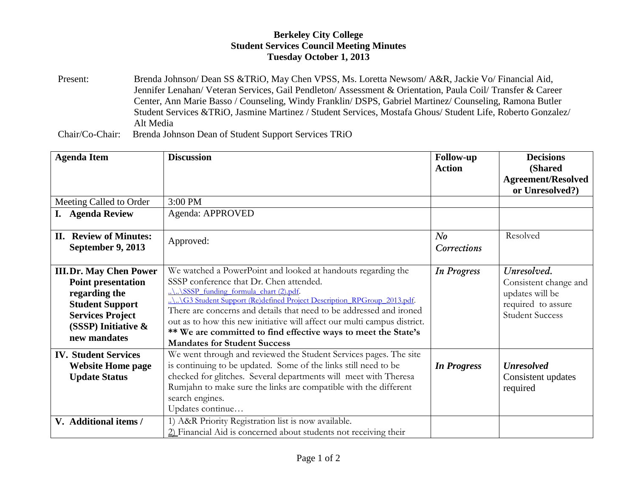## **Berkeley City College Student Services Council Meeting Minutes Tuesday October 1, 2013**

Present: Brenda Johnson/ Dean SS &TRiO, May Chen VPSS, Ms. Loretta Newsom/ A&R, Jackie Vo/ Financial Aid, Jennifer Lenahan/ Veteran Services, Gail Pendleton/ Assessment & Orientation, Paula Coil/ Transfer & Career Center, Ann Marie Basso / Counseling, Windy Franklin/ DSPS, Gabriel Martinez/ Counseling, Ramona Butler Student Services &TRiO, Jasmine Martinez / Student Services, Mostafa Ghous/ Student Life, Roberto Gonzalez/ Alt Media

Chair/Co-Chair: Brenda Johnson Dean of Student Support Services TRiO

| <b>Agenda Item</b>                                                                                                                                                         | <b>Discussion</b>                                                                                                                                                                                                                                                                                                                                                                                                                                                                           | <b>Follow-up</b><br><b>Action</b>    | <b>Decisions</b><br>(Shared<br><b>Agreement/Resolved</b><br>or Unresolved?)                             |
|----------------------------------------------------------------------------------------------------------------------------------------------------------------------------|---------------------------------------------------------------------------------------------------------------------------------------------------------------------------------------------------------------------------------------------------------------------------------------------------------------------------------------------------------------------------------------------------------------------------------------------------------------------------------------------|--------------------------------------|---------------------------------------------------------------------------------------------------------|
| Meeting Called to Order                                                                                                                                                    | 3:00 PM                                                                                                                                                                                                                                                                                                                                                                                                                                                                                     |                                      |                                                                                                         |
| I. Agenda Review                                                                                                                                                           | Agenda: APPROVED                                                                                                                                                                                                                                                                                                                                                                                                                                                                            |                                      |                                                                                                         |
| <b>II. Review of Minutes:</b><br>September 9, 2013                                                                                                                         | Approved:                                                                                                                                                                                                                                                                                                                                                                                                                                                                                   | N <sub>o</sub><br><b>Corrections</b> | Resolved                                                                                                |
| <b>III.Dr. May Chen Power</b><br><b>Point presentation</b><br>regarding the<br><b>Student Support</b><br><b>Services Project</b><br>(SSSP) Initiative $\&$<br>new mandates | We watched a PowerPoint and looked at handouts regarding the<br>SSSP conference that Dr. Chen attended.<br>$\ldots$ SSSP funding formula chart (2).pdf.<br>G3 Student Support (Re)defined Project Description_RPGroup_2013.pdf.<br>There are concerns and details that need to be addressed and ironed<br>out as to how this new initiative will affect our multi campus district.<br>** We are committed to find effective ways to meet the State's<br><b>Mandates for Student Success</b> | <b>In Progress</b>                   | Unresolved.<br>Consistent change and<br>updates will be<br>required to assure<br><b>Student Success</b> |
| <b>IV. Student Services</b><br><b>Website Home page</b><br><b>Update Status</b>                                                                                            | We went through and reviewed the Student Services pages. The site<br>is continuing to be updated. Some of the links still need to be<br>checked for glitches. Several departments will meet with Theresa<br>Rumjahn to make sure the links are compatible with the different<br>search engines.<br>Updates continue                                                                                                                                                                         | <b>In Progress</b>                   | <b>Unresolved</b><br>Consistent updates<br>required                                                     |
| V. Additional items /                                                                                                                                                      | 1) A&R Priority Registration list is now available.<br>2) Financial Aid is concerned about students not receiving their                                                                                                                                                                                                                                                                                                                                                                     |                                      |                                                                                                         |